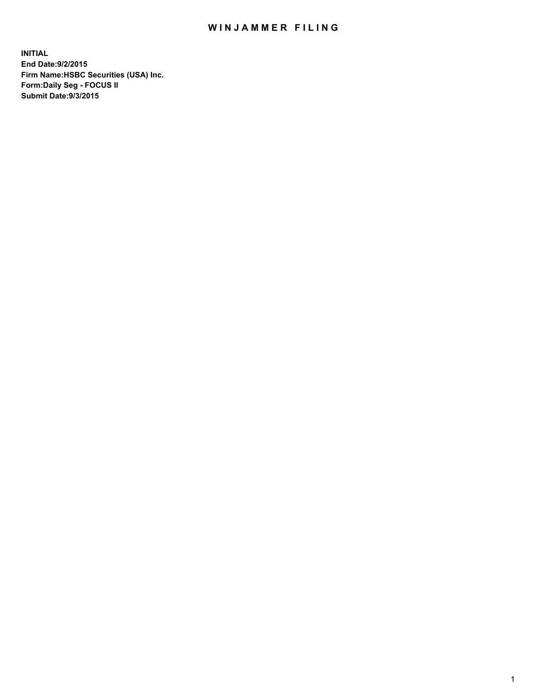## WIN JAMMER FILING

**INITIAL End Date:9/2/2015 Firm Name:HSBC Securities (USA) Inc. Form:Daily Seg - FOCUS II Submit Date:9/3/2015**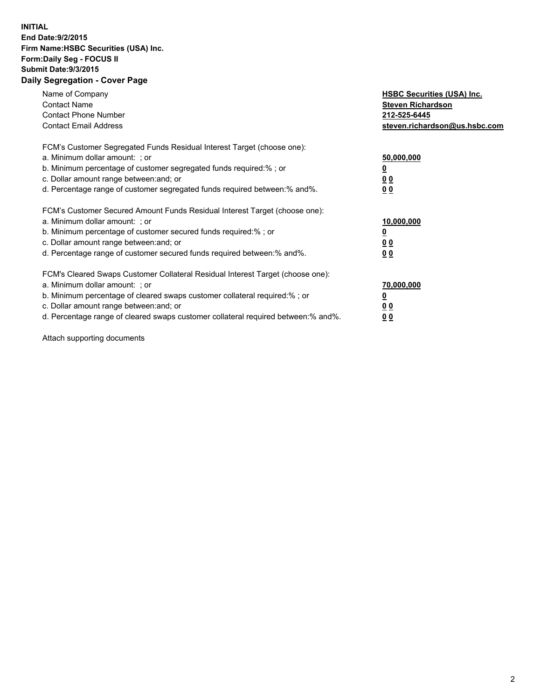## **INITIAL End Date:9/2/2015 Firm Name:HSBC Securities (USA) Inc. Form:Daily Seg - FOCUS II Submit Date:9/3/2015 Daily Segregation - Cover Page**

| Name of Company<br><b>Contact Name</b><br><b>Contact Phone Number</b><br><b>Contact Email Address</b>                                                                                                                                                                                                                          | <b>HSBC Securities (USA) Inc.</b><br><b>Steven Richardson</b><br>212-525-6445<br>steven.richardson@us.hsbc.com |
|--------------------------------------------------------------------------------------------------------------------------------------------------------------------------------------------------------------------------------------------------------------------------------------------------------------------------------|----------------------------------------------------------------------------------------------------------------|
| FCM's Customer Segregated Funds Residual Interest Target (choose one):<br>a. Minimum dollar amount: ; or<br>b. Minimum percentage of customer segregated funds required:%; or<br>c. Dollar amount range between: and; or<br>d. Percentage range of customer segregated funds required between:% and%.                          | 50,000,000<br>00<br>00                                                                                         |
| FCM's Customer Secured Amount Funds Residual Interest Target (choose one):<br>a. Minimum dollar amount: ; or<br>b. Minimum percentage of customer secured funds required:%; or<br>c. Dollar amount range between: and; or<br>d. Percentage range of customer secured funds required between:% and%.                            | 10,000,000<br>0 <sub>0</sub><br>00                                                                             |
| FCM's Cleared Swaps Customer Collateral Residual Interest Target (choose one):<br>a. Minimum dollar amount: ; or<br>b. Minimum percentage of cleared swaps customer collateral required:% ; or<br>c. Dollar amount range between: and; or<br>d. Percentage range of cleared swaps customer collateral required between:% and%. | 70,000,000<br><u>00</u><br><u>00</u>                                                                           |

Attach supporting documents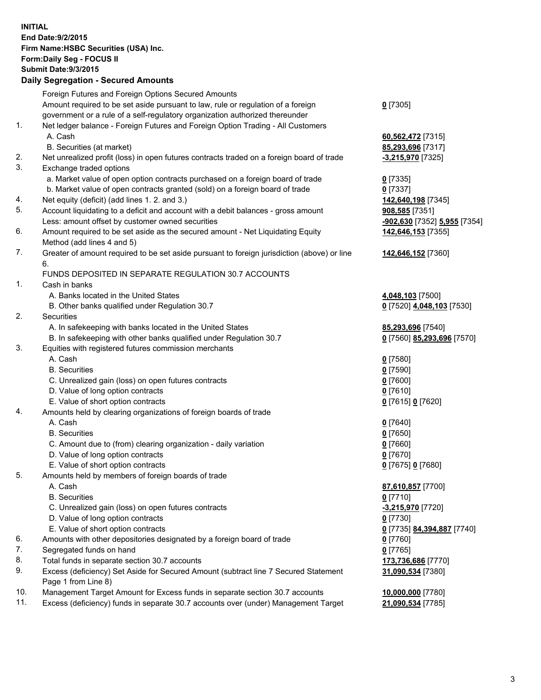**INITIAL End Date:9/2/2015 Firm Name:HSBC Securities (USA) Inc. Form:Daily Seg - FOCUS II Submit Date:9/3/2015 Daily Segregation - Secured Amounts** Foreign Futures and Foreign Options Secured Amounts Amount required to be set aside pursuant to law, rule or regulation of a foreign government or a rule of a self-regulatory organization authorized thereunder **0** [7305] 1. Net ledger balance - Foreign Futures and Foreign Option Trading - All Customers A. Cash **60,562,472** [7315] B. Securities (at market) **85,293,696** [7317] 2. Net unrealized profit (loss) in open futures contracts traded on a foreign board of trade **-3,215,970** [7325] 3. Exchange traded options a. Market value of open option contracts purchased on a foreign board of trade **0** [7335] b. Market value of open contracts granted (sold) on a foreign board of trade **0** [7337] 4. Net equity (deficit) (add lines 1. 2. and 3.) **142,640,198** [7345] 5. Account liquidating to a deficit and account with a debit balances - gross amount **908,585** [7351] Less: amount offset by customer owned securities **-902,630** [7352] **5,955** [7354] 6. Amount required to be set aside as the secured amount - Net Liquidating Equity Method (add lines 4 and 5) **142,646,153** [7355] 7. Greater of amount required to be set aside pursuant to foreign jurisdiction (above) or line 6. **142,646,152** [7360] FUNDS DEPOSITED IN SEPARATE REGULATION 30.7 ACCOUNTS 1. Cash in banks A. Banks located in the United States **4,048,103** [7500] B. Other banks qualified under Regulation 30.7 **0** [7520] **4,048,103** [7530] 2. Securities A. In safekeeping with banks located in the United States **85,293,696** [7540] B. In safekeeping with other banks qualified under Regulation 30.7 **0** [7560] **85,293,696** [7570] 3. Equities with registered futures commission merchants A. Cash **0** [7580] B. Securities **0** [7590] C. Unrealized gain (loss) on open futures contracts **0** [7600] D. Value of long option contracts **0** [7610] E. Value of short option contracts **0** [7615] **0** [7620] 4. Amounts held by clearing organizations of foreign boards of trade A. Cash **0** [7640] B. Securities **0** [7650] C. Amount due to (from) clearing organization - daily variation **0** [7660] D. Value of long option contracts **0** [7670] E. Value of short option contracts **0** [7675] **0** [7680] 5. Amounts held by members of foreign boards of trade A. Cash **87,610,857** [7700] B. Securities **0** [7710] C. Unrealized gain (loss) on open futures contracts **-3,215,970** [7720] D. Value of long option contracts **0** [7730] E. Value of short option contracts **0** [7735] **84,394,887** [7740] 6. Amounts with other depositories designated by a foreign board of trade **0** [7760] 7. Segregated funds on hand **0** [7765] 8. Total funds in separate section 30.7 accounts **173,736,686** [7770] 9. Excess (deficiency) Set Aside for Secured Amount (subtract line 7 Secured Statement Page 1 from Line 8) **31,090,534** [7380] 10. Management Target Amount for Excess funds in separate section 30.7 accounts **10,000,000** [7780] 11. Excess (deficiency) funds in separate 30.7 accounts over (under) Management Target **21,090,534** [7785]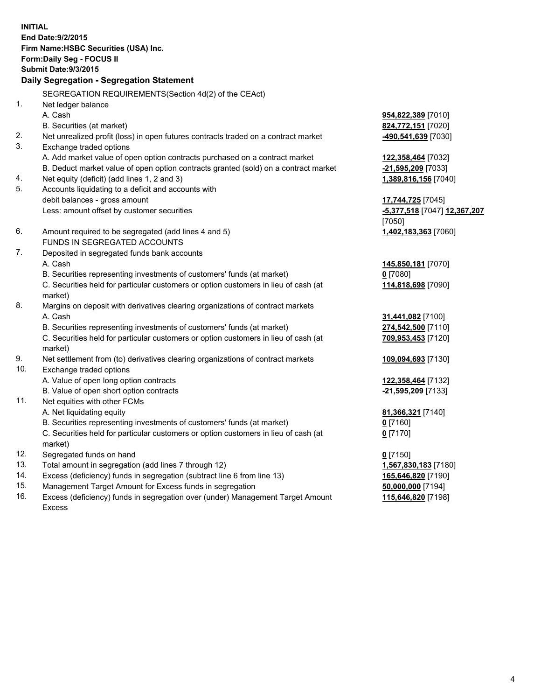| <b>INITIAL</b>                        |                                                                                     |                              |  |  |  |  |
|---------------------------------------|-------------------------------------------------------------------------------------|------------------------------|--|--|--|--|
| End Date: 9/2/2015                    |                                                                                     |                              |  |  |  |  |
| Firm Name: HSBC Securities (USA) Inc. |                                                                                     |                              |  |  |  |  |
|                                       | Form: Daily Seg - FOCUS II                                                          |                              |  |  |  |  |
|                                       | <b>Submit Date: 9/3/2015</b>                                                        |                              |  |  |  |  |
|                                       | Daily Segregation - Segregation Statement                                           |                              |  |  |  |  |
|                                       | SEGREGATION REQUIREMENTS(Section 4d(2) of the CEAct)                                |                              |  |  |  |  |
| 1.                                    | Net ledger balance                                                                  |                              |  |  |  |  |
|                                       | A. Cash                                                                             | 954,822,389 [7010]           |  |  |  |  |
|                                       | B. Securities (at market)                                                           | 824,772,151 [7020]           |  |  |  |  |
| 2.                                    | Net unrealized profit (loss) in open futures contracts traded on a contract market  | -490,541,639 [7030]          |  |  |  |  |
| 3.                                    | Exchange traded options                                                             |                              |  |  |  |  |
|                                       | A. Add market value of open option contracts purchased on a contract market         | 122,358,464 [7032]           |  |  |  |  |
|                                       | B. Deduct market value of open option contracts granted (sold) on a contract market | -21,595,209 [7033]           |  |  |  |  |
| 4.                                    | Net equity (deficit) (add lines 1, 2 and 3)                                         | 1,389,816,156 [7040]         |  |  |  |  |
| 5.                                    | Accounts liquidating to a deficit and accounts with                                 |                              |  |  |  |  |
|                                       | debit balances - gross amount                                                       | 17,744,725 [7045]            |  |  |  |  |
|                                       | Less: amount offset by customer securities                                          | -5,377,518 [7047] 12,367,207 |  |  |  |  |
|                                       |                                                                                     | [7050]                       |  |  |  |  |
| 6.                                    | Amount required to be segregated (add lines 4 and 5)                                | 1,402,183,363 [7060]         |  |  |  |  |
|                                       | FUNDS IN SEGREGATED ACCOUNTS                                                        |                              |  |  |  |  |
| 7.                                    | Deposited in segregated funds bank accounts                                         |                              |  |  |  |  |
|                                       | A. Cash                                                                             | 145,850,181 [7070]           |  |  |  |  |
|                                       | B. Securities representing investments of customers' funds (at market)              | $0$ [7080]                   |  |  |  |  |
|                                       | C. Securities held for particular customers or option customers in lieu of cash (at | 114,818,698 [7090]           |  |  |  |  |
|                                       | market)                                                                             |                              |  |  |  |  |
| 8.                                    | Margins on deposit with derivatives clearing organizations of contract markets      |                              |  |  |  |  |
|                                       | A. Cash                                                                             | 31,441,082 [7100]            |  |  |  |  |
|                                       | B. Securities representing investments of customers' funds (at market)              | 274,542,500 [7110]           |  |  |  |  |
|                                       | C. Securities held for particular customers or option customers in lieu of cash (at | 709,953,453 [7120]           |  |  |  |  |
|                                       | market)                                                                             |                              |  |  |  |  |
| 9.                                    | Net settlement from (to) derivatives clearing organizations of contract markets     | 109,094,693 [7130]           |  |  |  |  |
| 10.                                   | Exchange traded options                                                             |                              |  |  |  |  |
|                                       | A. Value of open long option contracts                                              | 122,358,464 [7132]           |  |  |  |  |
|                                       | B. Value of open short option contracts                                             | -21,595,209 [7133]           |  |  |  |  |
| 11.                                   | Net equities with other FCMs                                                        |                              |  |  |  |  |
|                                       | A. Net liquidating equity                                                           | 81,366,321 [7140]            |  |  |  |  |
|                                       | B. Securities representing investments of customers' funds (at market)              | $0$ [7160]                   |  |  |  |  |
|                                       | C. Securities held for particular customers or option customers in lieu of cash (at | $0$ [7170]                   |  |  |  |  |
|                                       | market)                                                                             |                              |  |  |  |  |
| 12.                                   | Segregated funds on hand                                                            | $0$ [7150]                   |  |  |  |  |
| 13.                                   | Total amount in segregation (add lines 7 through 12)                                | 1,567,830,183 [7180]         |  |  |  |  |
| 14.                                   | Excess (deficiency) funds in segregation (subtract line 6 from line 13)             | 165,646,820 [7190]           |  |  |  |  |
| 15.                                   | Management Target Amount for Excess funds in segregation                            | 50,000,000 [7194]            |  |  |  |  |
| 16.                                   | Excess (deficiency) funds in segregation over (under) Management Target Amount      | 115,646,820 [7198]           |  |  |  |  |
|                                       | Excess                                                                              |                              |  |  |  |  |